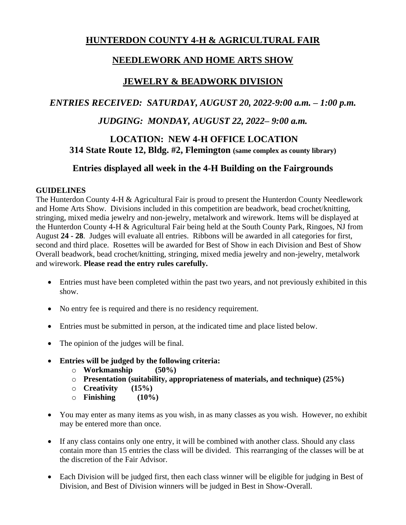# **HUNTERDON COUNTY 4-H & AGRICULTURAL FAIR**

# **NEEDLEWORK AND HOME ARTS SHOW**

# **JEWELRY & BEADWORK DIVISION**

## *ENTRIES RECEIVED: SATURDAY, AUGUST 20, 2022-9:00 a.m. – 1:00 p.m.*

## *JUDGING: MONDAY, AUGUST 22, 2022– 9:00 a.m.*

## **LOCATION: NEW 4-H OFFICE LOCATION 314 State Route 12, Bldg. #2, Flemington (same complex as county library)**

## **Entries displayed all week in the 4-H Building on the Fairgrounds**

## **GUIDELINES**

The Hunterdon County 4-H & Agricultural Fair is proud to present the Hunterdon County Needlework and Home Arts Show. Divisions included in this competition are beadwork, bead crochet/knitting, stringing, mixed media jewelry and non-jewelry, metalwork and wirework. Items will be displayed at the Hunterdon County 4-H & Agricultural Fair being held at the South County Park, Ringoes, NJ from August **24 - 28**. Judges will evaluate all entries. Ribbons will be awarded in all categories for first, second and third place. Rosettes will be awarded for Best of Show in each Division and Best of Show Overall beadwork, bead crochet/knitting, stringing, mixed media jewelry and non-jewelry, metalwork and wirework. **Please read the entry rules carefully.**

- Entries must have been completed within the past two years, and not previously exhibited in this show.
- No entry fee is required and there is no residency requirement.
- Entries must be submitted in person, at the indicated time and place listed below.
- The opinion of the judges will be final.
- **Entries will be judged by the following criteria:**
	- o **Workmanship (50%)**
	- o **Presentation (suitability, appropriateness of materials, and technique) (25%)**
	- o **Creativity (15%)**
	- o **Finishing (10%)**
- You may enter as many items as you wish, in as many classes as you wish. However, no exhibit may be entered more than once.
- If any class contains only one entry, it will be combined with another class. Should any class contain more than 15 entries the class will be divided. This rearranging of the classes will be at the discretion of the Fair Advisor.
- Each Division will be judged first, then each class winner will be eligible for judging in Best of Division, and Best of Division winners will be judged in Best in Show-Overall.